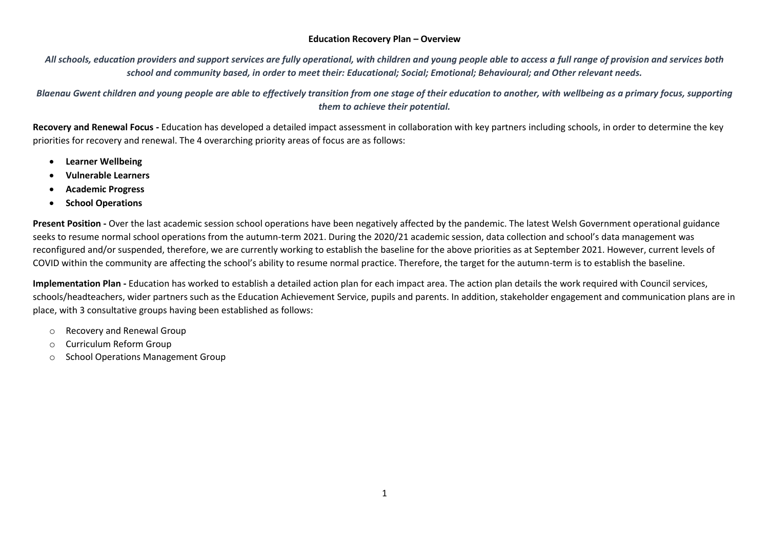## **Education Recovery Plan – Overview**

*All schools, education providers and support services are fully operational, with children and young people able to access a full range of provision and services both school and community based, in order to meet their: Educational; Social; Emotional; Behavioural; and Other relevant needs.*

*Blaenau Gwent children and young people are able to effectively transition from one stage of their education to another, with wellbeing as a primary focus, supporting them to achieve their potential.*

**Recovery and Renewal Focus -** Education has developed a detailed impact assessment in collaboration with key partners including schools, in order to determine the key priorities for recovery and renewal. The 4 overarching priority areas of focus are as follows:

- **Learner Wellbeing**
- **Vulnerable Learners**
- **Academic Progress**
- **School Operations**

**Present Position -** Over the last academic session school operations have been negatively affected by the pandemic. The latest Welsh Government operational guidance seeks to resume normal school operations from the autumn-term 2021. During the 2020/21 academic session, data collection and school's data management was reconfigured and/or suspended, therefore, we are currently working to establish the baseline for the above priorities as at September 2021. However, current levels of COVID within the community are affecting the school's ability to resume normal practice. Therefore, the target for the autumn-term is to establish the baseline.

**Implementation Plan -** Education has worked to establish a detailed action plan for each impact area. The action plan details the work required with Council services, schools/headteachers, wider partners such as the Education Achievement Service, pupils and parents. In addition, stakeholder engagement and communication plans are in place, with 3 consultative groups having been established as follows:

- o Recovery and Renewal Group
- o Curriculum Reform Group
- o School Operations Management Group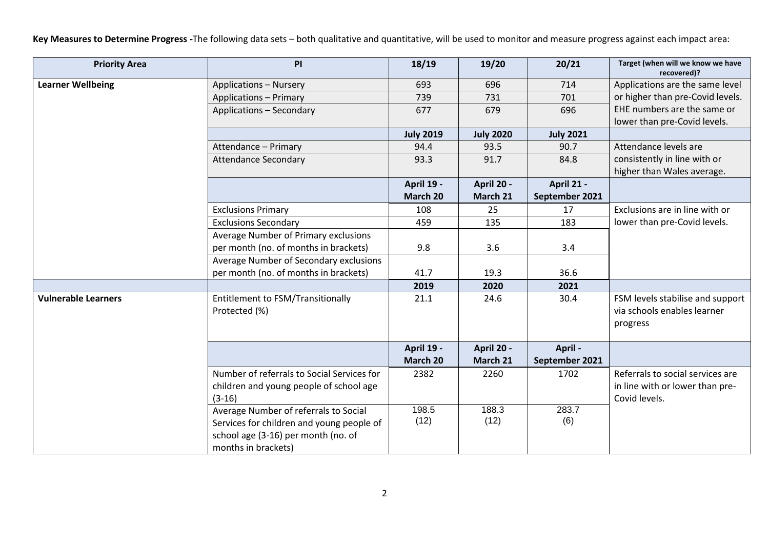**Key Measures to Determine Progress -**The following data sets – both qualitative and quantitative, will be used to monitor and measure progress against each impact area:

| <b>Priority Area</b>       | PI                                         | 18/19            | 19/20            | 20/21            | Target (when will we know we have<br>recovered)? |
|----------------------------|--------------------------------------------|------------------|------------------|------------------|--------------------------------------------------|
| <b>Learner Wellbeing</b>   | <b>Applications - Nursery</b>              | 693              | 696              | 714              | Applications are the same level                  |
|                            | <b>Applications - Primary</b>              | 739              | 731              | 701              | or higher than pre-Covid levels.                 |
|                            | <b>Applications - Secondary</b>            | 677              | 679              | 696              | EHE numbers are the same or                      |
|                            |                                            |                  |                  |                  | lower than pre-Covid levels.                     |
|                            |                                            | <b>July 2019</b> | <b>July 2020</b> | <b>July 2021</b> |                                                  |
|                            | Attendance - Primary                       | 94.4             | 93.5             | 90.7             | Attendance levels are                            |
|                            | <b>Attendance Secondary</b>                | 93.3             | 91.7             | 84.8             | consistently in line with or                     |
|                            |                                            |                  |                  |                  | higher than Wales average.                       |
|                            |                                            | April 19 -       | April 20 -       | April 21 -       |                                                  |
|                            |                                            | March 20         | March 21         | September 2021   |                                                  |
|                            | <b>Exclusions Primary</b>                  | 108              | 25               | 17               | Exclusions are in line with or                   |
|                            | <b>Exclusions Secondary</b>                | 459              | 135              | 183              | lower than pre-Covid levels.                     |
|                            | Average Number of Primary exclusions       |                  |                  |                  |                                                  |
|                            | per month (no. of months in brackets)      | 9.8              | 3.6              | 3.4              |                                                  |
|                            | Average Number of Secondary exclusions     |                  |                  |                  |                                                  |
|                            | per month (no. of months in brackets)      | 41.7             | 19.3             | 36.6             |                                                  |
|                            |                                            | 2019             | 2020             | 2021             |                                                  |
| <b>Vulnerable Learners</b> | Entitlement to FSM/Transitionally          | 21.1             | 24.6             | 30.4             | FSM levels stabilise and support                 |
|                            | Protected (%)                              |                  |                  |                  | via schools enables learner                      |
|                            |                                            |                  |                  |                  | progress                                         |
|                            |                                            |                  |                  |                  |                                                  |
|                            |                                            | April 19 -       | April 20 -       | April -          |                                                  |
|                            |                                            | March 20         | March 21         | September 2021   |                                                  |
|                            | Number of referrals to Social Services for | 2382             | 2260             | 1702             | Referrals to social services are                 |
|                            | children and young people of school age    |                  |                  |                  | in line with or lower than pre-                  |
|                            | $(3-16)$                                   |                  |                  |                  | Covid levels.                                    |
|                            | Average Number of referrals to Social      | 198.5            | 188.3            | 283.7            |                                                  |
|                            | Services for children and young people of  | (12)             | (12)             | (6)              |                                                  |
|                            | school age (3-16) per month (no. of        |                  |                  |                  |                                                  |
|                            | months in brackets)                        |                  |                  |                  |                                                  |